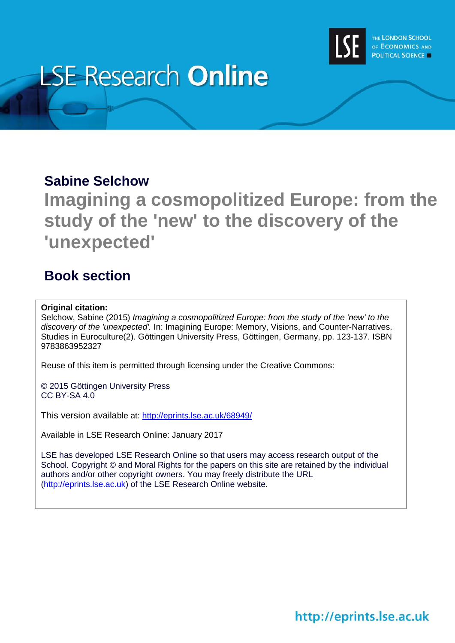

# **LSE Research Online**

## **Sabine Selchow**

**Imagining a cosmopolitized Europe: from the study of the 'new' to the discovery of the 'unexpected'**

## **Book section**

### **Original citation:**

Selchow, Sabine (2015) *Imagining a cosmopolitized Europe: from the study of the 'new' to the discovery of the 'unexpected'.* In: Imagining Europe: Memory, Visions, and Counter-Narratives. Studies in Euroculture(2). Göttingen University Press, Göttingen, Germany, pp. 123-137. ISBN 9783863952327

Reuse of this item is permitted through licensing under the Creative Commons:

© 2015 Göttingen University Press CC BY-SA 4.0

This version available at: <http://eprints.lse.ac.uk/68949/>

Available in LSE Research Online: January 2017

LSE has developed LSE Research Online so that users may access research output of the School. Copyright © and Moral Rights for the papers on this site are retained by the individual authors and/or other copyright owners. You may freely distribute the URL (http://eprints.lse.ac.uk) of the LSE Research Online website.

http://eprints.lse.ac.uk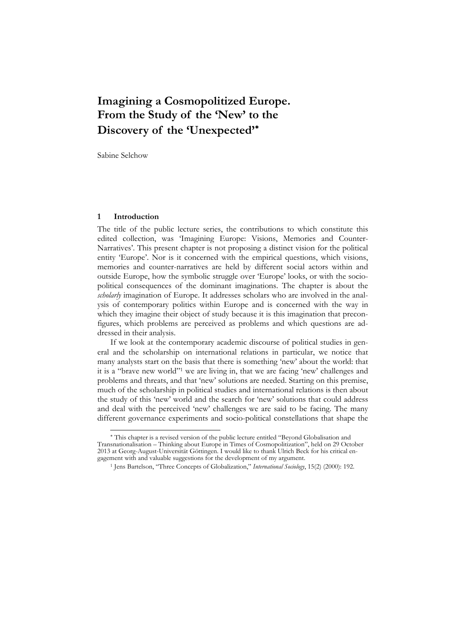## **Imagining a Cosmopolitized Europe. From the Study of the 'New' to the Discovery of the 'Unexpected'**

Sabine Selchow

#### **1 Introduction**

 $\ddot{\phantom{a}}$ 

The title of the public lecture series, the contributions to which constitute this edited collection, was 'Imagining Europe: Visions, Memories and Counter-Narratives'. This present chapter is not proposing a distinct vision for the political entity 'Europe'. Nor is it concerned with the empirical questions, which visions, memories and counter-narratives are held by different social actors within and outside Europe, how the symbolic struggle over 'Europe' looks, or with the sociopolitical consequences of the dominant imaginations. The chapter is about the *scholarly* imagination of Europe. It addresses scholars who are involved in the analysis of contemporary politics within Europe and is concerned with the way in which they imagine their object of study because it is this imagination that preconfigures, which problems are perceived as problems and which questions are addressed in their analysis.

If we look at the contemporary academic discourse of political studies in general and the scholarship on international relations in particular, we notice that many analysts start on the basis that there is something 'new' about the world: that it is a "brave new world"1 we are living in, that we are facing 'new' challenges and problems and threats, and that 'new' solutions are needed. Starting on this premise, much of the scholarship in political studies and international relations is then about the study of this 'new' world and the search for 'new' solutions that could address and deal with the perceived 'new' challenges we are said to be facing. The many different governance experiments and socio-political constellations that shape the

This chapter is a revised version of the public lecture entitled "Beyond Globalisation and Transnationalisation – Thinking about Europe in Times of Cosmopolitization", held on 29 October 2013 at Georg-August-Universität Göttingen. I would like to thank Ulrich Beck for his critical engagement with and valuable suggestions for the development of my argument.

<sup>1</sup> Jens Bartelson, "Three Concepts of Globalization," *International Sociology*, 15(2) (2000): 192.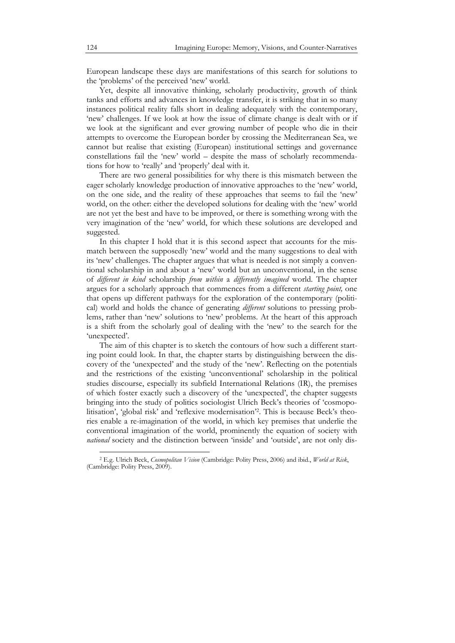European landscape these days are manifestations of this search for solutions to the 'problems' of the perceived 'new' world.

Yet, despite all innovative thinking, scholarly productivity, growth of think tanks and efforts and advances in knowledge transfer, it is striking that in so many instances political reality falls short in dealing adequately with the contemporary, 'new' challenges. If we look at how the issue of climate change is dealt with or if we look at the significant and ever growing number of people who die in their attempts to overcome the European border by crossing the Mediterranean Sea, we cannot but realise that existing (European) institutional settings and governance constellations fail the 'new' world – despite the mass of scholarly recommendations for how to 'really' and 'properly' deal with it.

There are two general possibilities for why there is this mismatch between the eager scholarly knowledge production of innovative approaches to the 'new' world, on the one side, and the reality of these approaches that seems to fail the 'new' world, on the other: either the developed solutions for dealing with the 'new' world are not yet the best and have to be improved, or there is something wrong with the very imagination of the 'new' world, for which these solutions are developed and suggested.

In this chapter I hold that it is this second aspect that accounts for the mismatch between the supposedly 'new' world and the many suggestions to deal with its 'new' challenges. The chapter argues that what is needed is not simply a conventional scholarship in and about a 'new' world but an unconventional, in the sense of *different in kind* scholarship *from within* a *differently imagined* world. The chapter argues for a scholarly approach that commences from a different *starting point,* one that opens up different pathways for the exploration of the contemporary (political) world and holds the chance of generating *different* solutions to pressing problems, rather than 'new' solutions to 'new' problems. At the heart of this approach is a shift from the scholarly goal of dealing with the 'new' to the search for the 'unexpected'.

The aim of this chapter is to sketch the contours of how such a different starting point could look. In that, the chapter starts by distinguishing between the discovery of the 'unexpected' and the study of the 'new'. Reflecting on the potentials and the restrictions of the existing 'unconventional' scholarship in the political studies discourse, especially its subfield International Relations (IR), the premises of which foster exactly such a discovery of the 'unexpected', the chapter suggests bringing into the study of politics sociologist Ulrich Beck's theories of 'cosmopolitisation', 'global risk' and 'reflexive modernisation'2. This is because Beck's theories enable a re-imagination of the world, in which key premises that underlie the conventional imagination of the world, prominently the equation of society with *national* society and the distinction between 'inside' and 'outside', are not only dis-

<sup>2</sup> E.g. Ulrich Beck, *Cosmopolitan Vision* (Cambridge: Polity Press, 2006) and ibid., *World at Risk*, (Cambridge: Polity Press, 2009).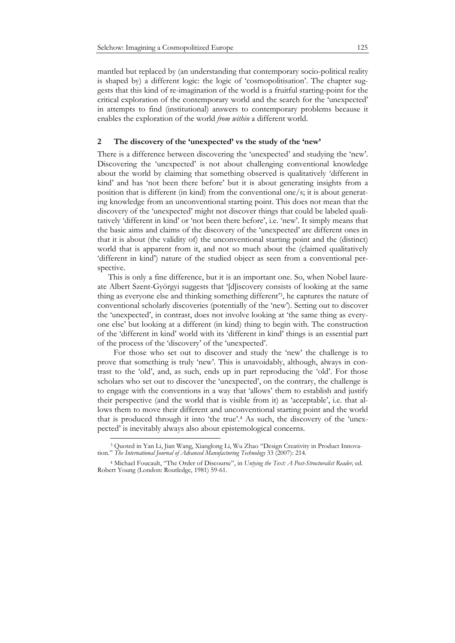mantled but replaced by (an understanding that contemporary socio-political reality is shaped by) a different logic: the logic of 'cosmopolitisation'. The chapter suggests that this kind of re-imagination of the world is a fruitful starting-point for the critical exploration of the contemporary world and the search for the 'unexpected' in attempts to find (institutional) answers to contemporary problems because it enables the exploration of the world *from within* a different world.

#### **2 The discovery of the 'unexpected' vs the study of the 'new'**

There is a difference between discovering the 'unexpected' and studying the 'new'. Discovering the 'unexpected' is not about challenging conventional knowledge about the world by claiming that something observed is qualitatively 'different in kind' and has 'not been there before' but it is about generating insights from a position that is different (in kind) from the conventional one/s; it is about generating knowledge from an unconventional starting point. This does not mean that the discovery of the 'unexpected' might not discover things that could be labeled qualitatively 'different in kind' or 'not been there before', i.e. 'new'. It simply means that the basic aims and claims of the discovery of the 'unexpected' are different ones in that it is about (the validity of) the unconventional starting point and the (distinct) world that is apparent from it, and not so much about the (claimed qualitatively 'different in kind') nature of the studied object as seen from a conventional perspective.

 This is only a fine difference, but it is an important one. So, when Nobel laureate Albert Szent-Györgyi suggests that '[d]iscovery consists of looking at the same thing as everyone else and thinking something different'3, he captures the nature of conventional scholarly discoveries (potentially of the 'new'). Setting out to discover the 'unexpected', in contrast, does not involve looking at 'the same thing as everyone else' but looking at a different (in kind) thing to begin with. The construction of the 'different in kind' world with its 'different in kind' things is an essential part of the process of the 'discovery' of the 'unexpected'.

For those who set out to discover and study the 'new' the challenge is to prove that something is truly 'new'. This is unavoidably, although, always in contrast to the 'old', and, as such, ends up in part reproducing the 'old'. For those scholars who set out to discover the 'unexpected', on the contrary, the challenge is to engage with the conventions in a way that 'allows' them to establish and justify their perspective (and the world that is visible from it) as 'acceptable', i.e. that allows them to move their different and unconventional starting point and the world that is produced through it into 'the true'.4 As such, the discovery of the 'unexpected' is inevitably always also about epistemological concerns.

<sup>3</sup> Quoted in Yan Li, Jian Wang, Xianglong Li, Wu Zhao "Design Creativity in Product Innovation." *The International Journal of Advanced Manufacturing Technology* 33 (2007): 214.

<sup>4</sup> Michael Foucault, "The Order of Discourse", in *Untying the Text: A Post-Structuralist Reader,* ed. Robert Young (London: Routledge, 1981) 59-61.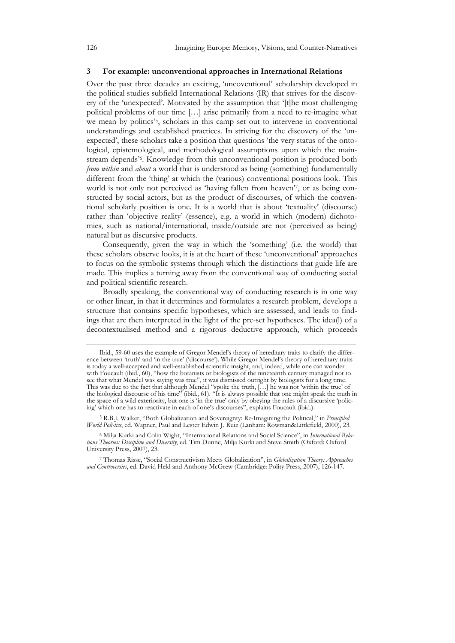#### **3 For example: unconventional approaches in International Relations**

Over the past three decades an exciting, 'uncoventional' scholarship developed in the political studies subfield International Relations (IR) that strives for the discovery of the 'unexpected'. Motivated by the assumption that '[t]he most challenging political problems of our time […] arise primarily from a need to re-imagine what we mean by politics'<sup>5</sup>, scholars in this camp set out to intervene in conventional understandings and established practices. In striving for the discovery of the 'unexpected', these scholars take a position that questions 'the very status of the ontological, epistemological, and methodological assumptions upon which the mainstream depends'6. Knowledge from this unconventional position is produced both *from within* and *about* a world that is understood as being (something) fundamentally different from the 'thing' at which the (various) conventional positions look. This world is not only not perceived as 'having fallen from heaven'7, or as being constructed by social actors, but as the product of discourses, of which the conventional scholarly position is one. It is a world that is about 'textuality' (discourse) rather than 'objective reality' (essence), e.g. a world in which (modern) dichotomies, such as national/international, inside/outside are not (perceived as being) natural but as discursive products.

Consequently, given the way in which the 'something' (i.e. the world) that these scholars observe looks, it is at the heart of these 'unconventional' approaches to focus on the symbolic systems through which the distinctions that guide life are made. This implies a turning away from the conventional way of conducting social and political scientific research.

Broadly speaking, the conventional way of conducting research is in one way or other linear, in that it determines and formulates a research problem, develops a structure that contains specific hypotheses, which are assessed, and leads to findings that are then interpreted in the light of the pre-set hypotheses. The idea(l) of a decontextualised method and a rigorous deductive approach, which proceeds

5 R.B.J. Walker, "Both Globalization and Sovereignty: Re-Imagining the Political," in *Principled World Poli-tics*, ed. Wapner, Paul and Lester Edwin J. Ruiz (Lanham: Rowman&Littlefield, 2000), 23.

Ibid., 59-60 uses the example of Gregor Mendel's theory of hereditary traits to clarify the difference between 'truth' and 'in the true' ('discourse'). While Gregor Mendel's theory of hereditary traits is today a well-accepted and well-established scientific insight, and, indeed, while one can wonder with Foucault (ibid., 60), "how the botanists or biologists of the nineteenth century managed not to see that what Mendel was saying was true", it was dismissed outright by biologists for a long time. This was due to the fact that although Mendel "spoke the truth, […] he was not 'within the true' of the biological discourse of his time" (ibid., 61). "It is always possible that one might speak the truth in the space of a wild exteriority, but one is 'in the true' only by obeying the rules of a discursive 'policing' which one has to reactivate in each of one's discourses", explains Foucault (ibid.).

<sup>6</sup> Milja Kurki and Colin Wight, "International Relations and Social Science", in *International Relations Theories: Discipline and Diversity*, ed. Tim Dunne, Milja Kurki and Steve Smith (Oxford: Oxford University Press, 2007), 23.

<sup>7</sup> Thomas Risse, "Social Constructivism Meets Globalization", in *Globalization Theory: Approaches and Controversies*, ed. David Held and Anthony McGrew (Cambridge: Polity Press, 2007), 126-147.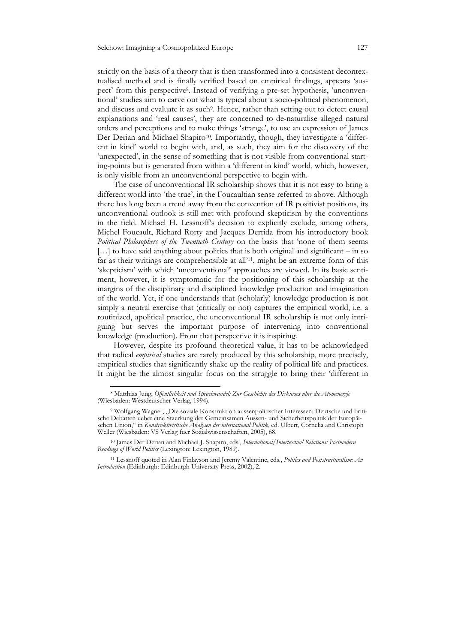strictly on the basis of a theory that is then transformed into a consistent decontextualised method and is finally verified based on empirical findings, appears 'suspect' from this perspective8. Instead of verifying a pre-set hypothesis, 'unconventional' studies aim to carve out what is typical about a socio-political phenomenon, and discuss and evaluate it as such<sup>9</sup>. Hence, rather than setting out to detect causal explanations and 'real causes', they are concerned to de-naturalise alleged natural orders and perceptions and to make things 'strange', to use an expression of James Der Derian and Michael Shapiro10. Importantly, though, they investigate a 'different in kind' world to begin with, and, as such, they aim for the discovery of the 'unexpected', in the sense of something that is not visible from conventional starting-points but is generated from within a 'different in kind' world, which, however, is only visible from an unconventional perspective to begin with.

The case of unconventional IR scholarship shows that it is not easy to bring a different world into 'the true', in the Foucaultian sense referred to above. Although there has long been a trend away from the convention of IR positivist positions, its unconventional outlook is still met with profound skepticism by the conventions in the field. Michael H. Lessnoff's decision to explicitly exclude, among others, Michel Foucault, Richard Rorty and Jacques Derrida from his introductory book *Political Philosophers of the Twentieth Century* on the basis that 'none of them seems [...] to have said anything about politics that is both original and significant – in so far as their writings are comprehensible at all'11, might be an extreme form of this 'skepticism' with which 'unconventional' approaches are viewed. In its basic sentiment, however, it is symptomatic for the positioning of this scholarship at the margins of the disciplinary and disciplined knowledge production and imagination of the world. Yet, if one understands that (scholarly) knowledge production is not simply a neutral exercise that (critically or not) captures the empirical world, i.e. a routinized, apolitical practice, the unconventional IR scholarship is not only intriguing but serves the important purpose of intervening into conventional knowledge (production). From that perspective it is inspiring.

However, despite its profound theoretical value, it has to be acknowledged that radical *empirical* studies are rarely produced by this scholarship, more precisely, empirical studies that significantly shake up the reality of political life and practices. It might be the almost singular focus on the struggle to bring their 'different in

 $\ddot{\phantom{a}}$ 

<sup>8</sup> Matthias Jung, *Öffentlichkeit und Sprachwandel: Zur Geschichte des Diskurses über die Atomenergie* (Wiesbaden: Westdeutscher Verlag, 1994).

<sup>&</sup>lt;sup>9</sup> Wolfgang Wagner, "Die soziale Konstruktion aussenpolitischer Interessen: Deutsche und britische Debatten ueber eine Staerkung der Gemeinsamen Aussen- und Sicherheitspolitik der Europäischen Union," in *Konstruktivistische Analysen der international Politik*, ed. Ulbert, Cornelia and Christoph Weller (Wiesbaden: VS Verlag fuer Sozialwissenschaften, 2005), 68.

<sup>10</sup> James Der Derian and Michael J. Shapiro, eds., *International/Intertextual Relations: Postmodern Readings of World Politics* (Lexington: Lexington, 1989).

<sup>11</sup> Lessnoff quoted in Alan Finlayson and Jeremy Valentine, eds., *Politics and Poststructuralism: An Introduction* (Edinburgh: Edinburgh University Press, 2002), 2.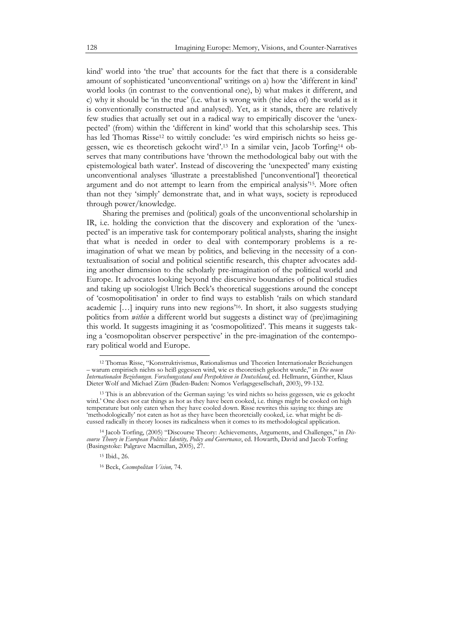kind' world into 'the true' that accounts for the fact that there is a considerable amount of sophisticated 'unconventional' writings on a) how the 'different in kind' world looks (in contrast to the conventional one), b) what makes it different, and c) why it should be 'in the true' (i.e. what is wrong with (the idea of) the world as it is conventionally constructed and analysed). Yet, as it stands, there are relatively few studies that actually set out in a radical way to empirically discover the 'unexpected' (from) within the 'different in kind' world that this scholarship sees. This has led Thomas Risse12 to wittily conclude: 'es wird empirisch nichts so heiss gegessen, wie es theoretisch gekocht wird'.13 In a similar vein, Jacob Torfing14 observes that many contributions have 'thrown the methodological baby out with the epistemological bath water'. Instead of discovering the 'unexpected' many existing unconventional analyses 'illustrate a preestablished ['unconventional'] theoretical argument and do not attempt to learn from the empirical analysis'15. More often than not they 'simply' demonstrate that, and in what ways, society is reproduced through power/knowledge.

Sharing the premises and (political) goals of the unconventional scholarship in IR, i.e. holding the conviction that the discovery and exploration of the 'unexpected' is an imperative task for contemporary political analysts, sharing the insight that what is needed in order to deal with contemporary problems is a reimagination of what we mean by politics, and believing in the necessity of a contextualisation of social and political scientific research, this chapter advocates adding another dimension to the scholarly pre-imagination of the political world and Europe. It advocates looking beyond the discursive boundaries of political studies and taking up sociologist Ulrich Beck's theoretical suggestions around the concept of 'cosmopolitisation' in order to find ways to establish 'rails on which standard academic […] inquiry runs into new regions'16. In short, it also suggests studying politics from *within* a different world but suggests a distinct way of (pre)imagining this world. It suggests imagining it as 'cosmopolitized'. This means it suggests taking a 'cosmopolitan observer perspective' in the pre-imagination of the contemporary political world and Europe.

<sup>12</sup> Thomas Risse, "Konstruktivismus, Rationalismus und Theorien Internationaler Beziehungen – warum empirisch nichts so heiß gegessen wird, wie es theoretisch gekocht wurde," in *Die neuen Internationalen Beziehungen. Forschungsstand und Perspektiven in Deutschland*, ed. Hellmann, Günther, Klaus Dieter Wolf and Michael Zürn (Baden-Baden: Nomos Verlagsgesellschaft, 2003), 99-132.

<sup>13</sup> This is an abbrevation of the German saying: 'es wird nichts so heiss gegessen, wie es gekocht wird.' One does not eat things as hot as they have been cooked, i.e. things might be cooked on high temperature but only eaten when they have cooled down. Risse rewrites this saying to: things are 'methodologically' not eaten as hot as they have been theoretcially cooked, i.e. what might be dicussed radically in theory looses its radicalness when it comes to its methodological application.

<sup>14</sup> Jacob Torfing, (2005) "Discourse Theory: Achievements, Arguments, and Challenges," in *Discourse Theory in European Politics: Identity, Policy and Governance*, ed. Howarth, David and Jacob Torfing (Basingstoke: Palgrave Macmillan, 2005), 27.

<sup>15</sup> Ibid., 26.

<sup>16</sup> Beck, *Cosmopolitan Vision,* 74.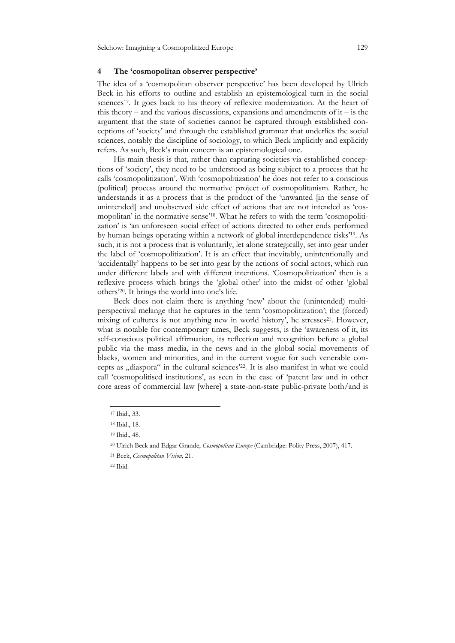#### **4 The 'cosmopolitan observer perspective'**

The idea of a 'cosmopolitan observer perspective' has been developed by Ulrich Beck in his efforts to outline and establish an epistemological turn in the social sciences<sup>17</sup>. It goes back to his theory of reflexive modernization. At the heart of this theory – and the various discussions, expansions and amendments of it – is the argument that the state of societies cannot be captured through established conceptions of 'society' and through the established grammar that underlies the social sciences, notably the discipline of sociology, to which Beck implicitly and explicitly refers. As such, Beck's main concern is an epistemological one.

His main thesis is that, rather than capturing societies via established conceptions of 'society', they need to be understood as being subject to a process that he calls 'cosmopolitization'. With 'cosmopolitization' he does not refer to a conscious (political) process around the normative project of cosmopolitanism. Rather, he understands it as a process that is the product of the 'unwanted [in the sense of unintended] and unobserved side effect of actions that are not intended as 'cosmopolitan' in the normative sense'18. What he refers to with the term 'cosmopolitization' is 'an unforeseen social effect of actions directed to other ends performed by human beings operating within a network of global interdependence risks'19. As such, it is not a process that is voluntarily, let alone strategically, set into gear under the label of 'cosmopolitization'. It is an effect that inevitably, unintentionally and 'accidentally' happens to be set into gear by the actions of social actors, which run under different labels and with different intentions. 'Cosmopolitization' then is a reflexive process which brings the 'global other' into the midst of other 'global others'20. It brings the world into one's life.

Beck does not claim there is anything 'new' about the (unintended) multiperspectival melange that he captures in the term 'cosmopolitization'; the (forced) mixing of cultures is not anything new in world history', he stresses $2^1$ . However, what is notable for contemporary times, Beck suggests, is the 'awareness of it, its self-conscious political affirmation, its reflection and recognition before a global public via the mass media, in the news and in the global social movements of blacks, women and minorities, and in the current vogue for such venerable concepts as "diaspora" in the cultural sciences<sup>'22</sup>. It is also manifest in what we could call 'cosmopolitised institutions', as seen in the case of 'patent law and in other core areas of commercial law [where] a state-non-state public-private both/and is

<sup>17</sup> Ibid., 33.

<sup>18</sup> Ibid., 18.

<sup>19</sup> Ibid., 48.

<sup>20</sup> Ulrich Beck and Edgar Grande, *Cosmopolitan Europe* (Cambridge: Polity Press, 2007), 417.

<sup>21</sup> Beck, *Cosmopolitan Vision,* 21.

<sup>22</sup> Ibid.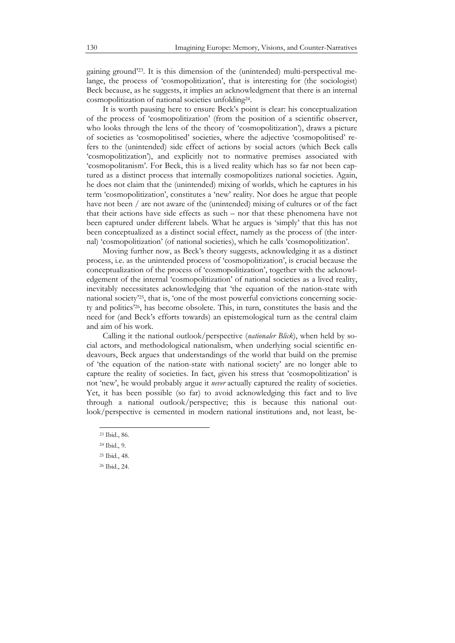gaining ground'23. It is this dimension of the (unintended) multi-perspectival melange, the process of 'cosmopolitization', that is interesting for (the sociologist) Beck because, as he suggests, it implies an acknowledgment that there is an internal cosmopolitization of national societies unfolding24.

It is worth pausing here to ensure Beck's point is clear: his conceptualization of the process of 'cosmopolitization' (from the position of a scientific observer, who looks through the lens of the theory of 'cosmopolitization'), draws a picture of societies as 'cosmopolitised' societies, where the adjective 'cosmopolitised' refers to the (unintended) side effect of actions by social actors (which Beck calls 'cosmopolitization'), and explicitly not to normative premises associated with 'cosmopolitanism'. For Beck, this is a lived reality which has so far not been captured as a distinct process that internally cosmopolitizes national societies. Again, he does not claim that the (unintended) mixing of worlds, which he captures in his term 'cosmopolitization', constitutes a 'new' reality. Nor does he argue that people have not been / are not aware of the (unintended) mixing of cultures or of the fact that their actions have side effects as such – nor that these phenomena have not been captured under different labels. What he argues is 'simply' that this has not been conceptualized as a distinct social effect, namely as the process of (the internal) 'cosmopolitization' (of national societies), which he calls 'cosmopolitization'.

Moving further now, as Beck's theory suggests, acknowledging it as a distinct process, i.e. as the unintended process of 'cosmopolitization', is crucial because the conceptualization of the process of 'cosmopolitization', together with the acknowledgement of the internal 'cosmopolitization' of national societies as a lived reality, inevitably necessitates acknowledging that 'the equation of the nation-state with national society'25, that is, 'one of the most powerful convictions concerning society and politics'26, has become obsolete. This, in turn, constitutes the basis and the need for (and Beck's efforts towards) an epistemological turn as the central claim and aim of his work.

Calling it the national outlook/perspective (*nationaler Blick*), when held by social actors, and methodological nationalism, when underlying social scientific endeavours, Beck argues that understandings of the world that build on the premise of 'the equation of the nation-state with national society' are no longer able to capture the reality of societies. In fact, given his stress that 'cosmopolitization' is not 'new', he would probably argue it *never* actually captured the reality of societies. Yet, it has been possible (so far) to avoid acknowledging this fact and to live through a national outlook/perspective; this is because this national outlook/perspective is cemented in modern national institutions and, not least, be-

 $\ddot{\phantom{a}}$ 

<sup>23</sup> Ibid., 86.

<sup>24</sup> Ibid., 9.

<sup>25</sup> Ibid., 48.

<sup>26</sup> Ibid., 24.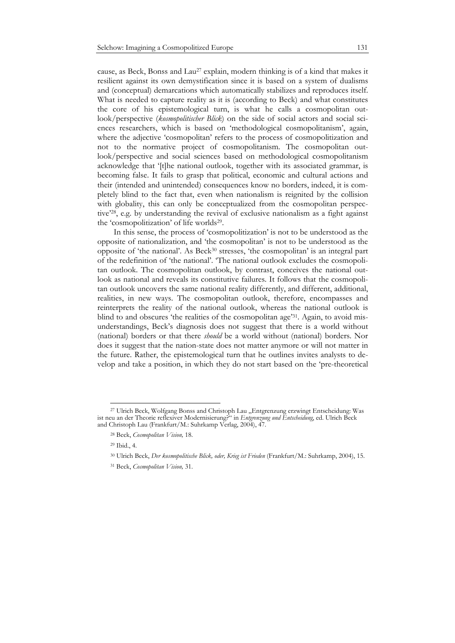cause, as Beck, Bonss and Lau<sup>27</sup> explain, modern thinking is of a kind that makes it resilient against its own demystification since it is based on a system of dualisms and (conceptual) demarcations which automatically stabilizes and reproduces itself. What is needed to capture reality as it is (according to Beck) and what constitutes the core of his epistemological turn, is what he calls a cosmopolitan outlook/perspective (*kosmopolitischer Blick*) on the side of social actors and social sciences researchers, which is based on 'methodological cosmopolitanism', again, where the adjective 'cosmopolitan' refers to the process of cosmopolitization and not to the normative project of cosmopolitanism. The cosmopolitan outlook/perspective and social sciences based on methodological cosmopolitanism acknowledge that '[t]he national outlook, together with its associated grammar, is becoming false. It fails to grasp that political, economic and cultural actions and their (intended and unintended) consequences know no borders, indeed, it is completely blind to the fact that, even when nationalism is reignited by the collision with globality, this can only be conceptualized from the cosmopolitan perspective'28, e.g. by understanding the revival of exclusive nationalism as a fight against the 'cosmopolitization' of life worlds29.

In this sense, the process of 'cosmopolitization' is not to be understood as the opposite of nationalization, and 'the cosmopolitan' is not to be understood as the opposite of 'the national'. As Beck30 stresses, 'the cosmopolitan' is an integral part of the redefinition of 'the national'. 'The national outlook excludes the cosmopolitan outlook. The cosmopolitan outlook, by contrast, conceives the national outlook as national and reveals its constitutive failures. It follows that the cosmopolitan outlook uncovers the same national reality differently, and different, additional, realities, in new ways. The cosmopolitan outlook, therefore, encompasses and reinterprets the reality of the national outlook, whereas the national outlook is blind to and obscures 'the realities of the cosmopolitan age'31. Again, to avoid misunderstandings, Beck's diagnosis does not suggest that there is a world without (national) borders or that there *should* be a world without (national) borders. Nor does it suggest that the nation-state does not matter anymore or will not matter in the future. Rather, the epistemological turn that he outlines invites analysts to develop and take a position, in which they do not start based on the 'pre-theoretical

<sup>&</sup>lt;sup>27</sup> Ulrich Beck, Wolfgang Bonss and Christoph Lau "Entgrenzung erzwingt Entscheidung: Was ist neu an der Theorie reflexiver Modernisierung?" in *Entgrenzung und Entscheidung*, ed. Ulrich Beck and Christoph Lau (Frankfurt/M.: Suhrkamp Verlag, 2004), 47.

<sup>28</sup> Beck, *Cosmopolitan Vision,* 18.

<sup>29</sup> Ibid., 4.

<sup>30</sup> Ulrich Beck, *Der kosmopolitische Blick, oder, Krieg ist Frieden* (Frankfurt/M.: Suhrkamp, 2004), 15.

<sup>31</sup> Beck, *Cosmopolitan Vision,* 31.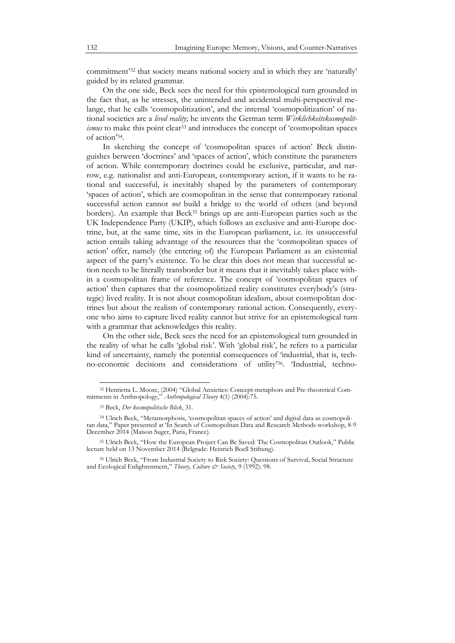commitment'32 that society means national society and in which they are 'naturally' guided by its related grammar.

On the one side, Beck sees the need for this epistemological turn grounded in the fact that, as he stresses, the unintended and accidental multi-perspectival melange, that he calls 'cosmopolitization', and the internal 'cosmopolitization' of national societies are a *lived reality*; he invents the German term *Wirklichkeitskosmopolitismus* to make this point clear<sup>33</sup> and introduces the concept of 'cosmopolitan spaces of action'34.

In sketching the concept of 'cosmopolitan spaces of action' Beck distinguishes between 'doctrines' and 'spaces of action', which constitute the parameters of action. While contemporary doctrines could be exclusive, particular, and narrow, e.g. nationalist and anti-European, contemporary action, if it wants to be rational and successful, is inevitably shaped by the parameters of contemporary 'spaces of action', which are cosmopolitan in the sense that contemporary rational successful action cannot *not* build a bridge to the world of others (and beyond borders). An example that Beck35 brings up are anti-European parties such as the UK Independence Party (UKIP), which follows an exclusive and anti-Europe doctrine, but, at the same time, sits in the European parliament, i.e. its unsuccessful action entails taking advantage of the resources that the 'cosmopolitan spaces of action' offer, namely (the entering of) the European Parliament as an existential aspect of the party's existence. To be clear this does not mean that successful action needs to be literally transborder but it means that it inevitably takes place within a cosmopolitan frame of reference. The concept of 'cosmopolitan spaces of action' then captures that the cosmopolitized reality constitutes everybody's (strategic) lived reality. It is not about cosmopolitan idealism, about cosmopolitan doctrines but about the realism of contemporary rational action. Consequently, everyone who aims to capture lived reality cannot but strive for an epistemological turn with a grammar that acknowledges this reality.

On the other side, Beck sees the need for an epistemological turn grounded in the reality of what he calls 'global risk'. With 'global risk', he refers to a particular kind of uncertainty, namely the potential consequences of 'industrial, that is, techno-economic decisions and considerations of utility'36. 'Industrial, techno-

<sup>32</sup> Henrietta L. Moore, (2004) "Global Anxieties: Concept-metaphors and Pre-theoretical Commitments in Anthropology," *Anthropological Theory* 4(1) (2004):75.

<sup>33</sup> Beck, *Der kosmopolitische Blick*, 31.

<sup>34</sup> Ulrich Beck, "Metamorphosis, 'cosmopolitan spaces of action' and digital data as cosmopolitan data," Paper presented at 'In Search of Cosmopolitan Data and Research Methods-workshop, 8-9 December 2014 (Maison Suger, Paris, France).

<sup>35</sup> Ulrich Beck, "How the European Project Can Be Saved: The Cosmopolitan Outlook," Public lecture held on 13 November 2014 (Belgrade: Heinrich Boell Stiftung).

<sup>36</sup> Ulrich Beck, "From Industrial Society to Risk Society: Questions of Survival, Social Structure and Ecological Enlightenment," *Theory, Culture & Society*, 9 (1992): 98.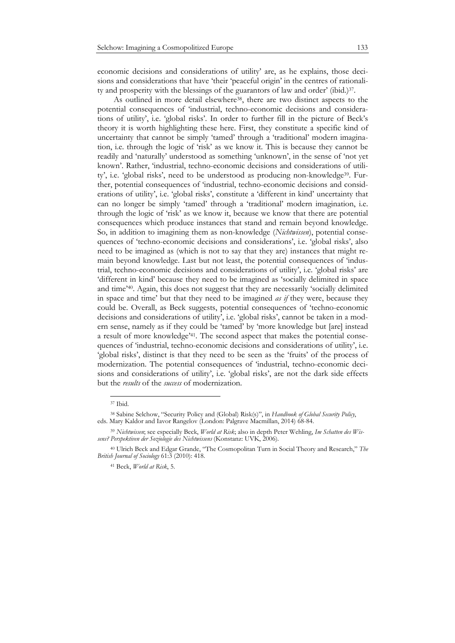economic decisions and considerations of utility' are, as he explains, those decisions and considerations that have 'their 'peaceful origin' in the centres of rationality and prosperity with the blessings of the guarantors of law and order' (ibid.)37.

As outlined in more detail elsewhere<sup>38</sup>, there are two distinct aspects to the potential consequences of 'industrial, techno-economic decisions and considerations of utility', i.e. 'global risks'. In order to further fill in the picture of Beck's theory it is worth highlighting these here. First, they constitute a specific kind of uncertainty that cannot be simply 'tamed' through a 'traditional' modern imagination, i.e. through the logic of 'risk' as we know it. This is because they cannot be readily and 'naturally' understood as something 'unknown', in the sense of 'not yet known'. Rather, 'industrial, techno-economic decisions and considerations of utility', i.e. 'global risks', need to be understood as producing non-knowledge39. Further, potential consequences of 'industrial, techno-economic decisions and considerations of utility', i.e. 'global risks', constitute a 'different in kind' uncertainty that can no longer be simply 'tamed' through a 'traditional' modern imagination, i.e. through the logic of 'risk' as we know it, because we know that there are potential consequences which produce instances that stand and remain beyond knowledge. So, in addition to imagining them as non-knowledge (*Nichtwissen*), potential consequences of 'techno-economic decisions and considerations', i.e. 'global risks', also need to be imagined as (which is not to say that they are) instances that might remain beyond knowledge. Last but not least, the potential consequences of 'industrial, techno-economic decisions and considerations of utility', i.e. 'global risks' are 'different in kind' because they need to be imagined as 'socially delimited in space and time'40. Again, this does not suggest that they are necessarily 'socially delimited in space and time' but that they need to be imagined *as if* they were, because they could be. Overall, as Beck suggests, potential consequences of 'techno-economic decisions and considerations of utility', i.e. 'global risks', cannot be taken in a modern sense, namely as if they could be 'tamed' by 'more knowledge but [are] instead a result of more knowledge'41. The second aspect that makes the potential consequences of 'industrial, techno-economic decisions and considerations of utility', i.e. 'global risks', distinct is that they need to be seen as the 'fruits' of the process of modernization. The potential consequences of 'industrial, techno-economic decisions and considerations of utility', i.e. 'global risks', are not the dark side effects but the *results* of the *success* of modernization.

<sup>37</sup> Ibid.

<sup>38</sup> Sabine Selchow, "Security Policy and (Global) Risk(s)", in *Handbook of Global Security Policy*, eds. Mary Kaldor and Iavor Rangelov (London: Palgrave Macmillan, 2014) 68-84.

<sup>39</sup> *Nichtwissen*; see especially Beck, *World at Risk*; also in depth Peter Wehling, *Im Schatten des Wissens? Perspektiven der Soziologie des Nichtwissens* (Konstanz: UVK, 2006).

<sup>40</sup> Ulrich Beck and Edgar Grande, "The Cosmopolitan Turn in Social Theory and Research," *The British Journal of Sociology* 61:3 (2010): 418.

<sup>41</sup> Beck, *World at Risk*, 5.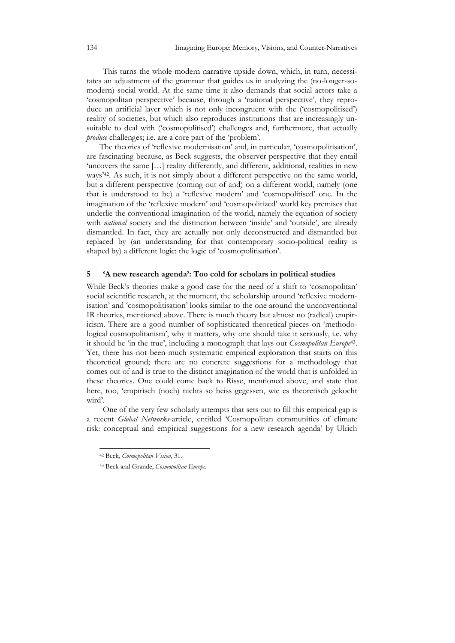This turns the whole modern narrative upside down, which, in turn, necessitates an adjustment of the grammar that guides us in analyzing the (no-longer-somodern) social world. At the same time it also demands that social actors take a 'cosmopolitan perspective' because, through a 'national perspective', they reproduce an artificial layer which is not only incongruent with the ('cosmopolitised') reality of societies, but which also reproduces institutions that are increasingly unsuitable to deal with ('cosmopolitised') challenges and, furthermore, that actually *produce* challenges; *i.e.* are a core part of the 'problem'.

The theories of 'reflexive modernisation' and, in particular, 'cosmopolitisation', are fascinating because, as Beck suggests, the observer perspective that they entail 'uncovers the same [...] reality differently, and different, additional, realities in new ways'42. As such, it is not simply about a different perspective on the same world, but a different perspective (coming out of and) on a different world, namely (one that is understood to be) a 'reflexive modern' and 'cosmopolitised' one. In the imagination of the 'reflexive modern' and 'cosmopolitized' world key premises that underlie the conventional imagination of the world, namely the equation of society with *national* society and the distinction between 'inside' and 'outside', are already dismantled. In fact, they are actually not only deconstructed and dismantled but replaced by (an understanding for that contemporary socio-political reality is shaped by) a different logic: the logic of 'cosmopolitisation'.

#### **5 'A new research agenda': Too cold for scholars in political studies**

While Beck's theories make a good case for the need of a shift to 'cosmopolitan' social scientific research, at the moment, the scholarship around 'reflexive modernisation' and 'cosmopolitisation' looks similar to the one around the unconventional IR theories, mentioned above. There is much theory but almost no (radical) empiricism. There are a good number of sophisticated theoretical pieces on 'methodological cosmopolitanism', why it matters, why one should take it seriously, i.e. why it should be 'in the true', including a monograph that lays out *Cosmopolitan Europe*43. Yet, there has not been much systematic empirical exploration that starts on this theoretical ground; there are no concrete suggestions for a methodology that comes out of and is true to the distinct imagination of the world that is unfolded in these theories. One could come back to Risse, mentioned above, and state that here, too, 'empirisch (noch) nichts so heiss gegessen, wie es theoretisch gekocht wird'.

One of the very few scholarly attempts that sets out to fill this empirical gap is a recent *Global Networks*-article, entitled 'Cosmopolitan communities of climate risk: conceptual and empirical suggestions for a new research agenda' by Ulrich

<sup>42</sup> Beck, *Cosmopolitan Vision,* 31.

<sup>43</sup> Beck and Grande, *Cosmopolitan Europe.*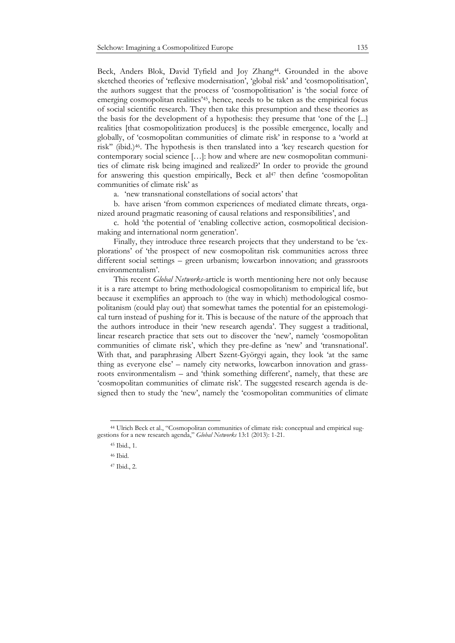Beck, Anders Blok, David Tyfield and Joy Zhang<sup>44</sup>. Grounded in the above sketched theories of 'reflexive modernisation', 'global risk' and 'cosmopolitisation', the authors suggest that the process of 'cosmopolitisation' is 'the social force of emerging cosmopolitan realities'45, hence, needs to be taken as the empirical focus of social scientific research. They then take this presumption and these theories as the basis for the development of a hypothesis: they presume that 'one of the [...] realities [that cosmopolitization produces] is the possible emergence, locally and globally, of 'cosmopolitan communities of climate risk' in response to a 'world at risk'' (ibid.)46. The hypothesis is then translated into a 'key research question for contemporary social science […]: how and where are new cosmopolitan communities of climate risk being imagined and realized?' In order to provide the ground for answering this question empirically, Beck et  $al^{47}$  then define 'cosmopolitan' communities of climate risk' as

a. 'new transnational constellations of social actors' that

b. have arisen 'from common experiences of mediated climate threats, organized around pragmatic reasoning of causal relations and responsibilities', and

c. hold 'the potential of 'enabling collective action, cosmopolitical decisionmaking and international norm generation'.

Finally, they introduce three research projects that they understand to be 'explorations' of 'the prospect of new cosmopolitan risk communities across three different social settings – green urbanism; lowcarbon innovation; and grassroots environmentalism'.

This recent *Global Networks*-article is worth mentioning here not only because it is a rare attempt to bring methodological cosmopolitanism to empirical life, but because it exemplifies an approach to (the way in which) methodological cosmopolitanism (could play out) that somewhat tames the potential for an epistemological turn instead of pushing for it. This is because of the nature of the approach that the authors introduce in their 'new research agenda'. They suggest a traditional, linear research practice that sets out to discover the 'new', namely 'cosmopolitan communities of climate risk', which they pre-define as 'new' and 'transnational'. With that, and paraphrasing Albert Szent-Györgyi again, they look 'at the same thing as everyone else' – namely city networks, lowcarbon innovation and grassroots environmentalism – and 'think something different', namely, that these are 'cosmopolitan communities of climate risk'. The suggested research agenda is designed then to study the 'new', namely the 'cosmopolitan communities of climate

 $\ddot{\phantom{a}}$ 

<sup>44</sup> Ulrich Beck et al., "Cosmopolitan communities of climate risk: conceptual and empirical suggestions for a new research agenda," *Global Networks* 13:1 (2013): 1-21.

<sup>45</sup> Ibid., 1.

<sup>46</sup> Ibid.

<sup>47</sup> Ibid., 2.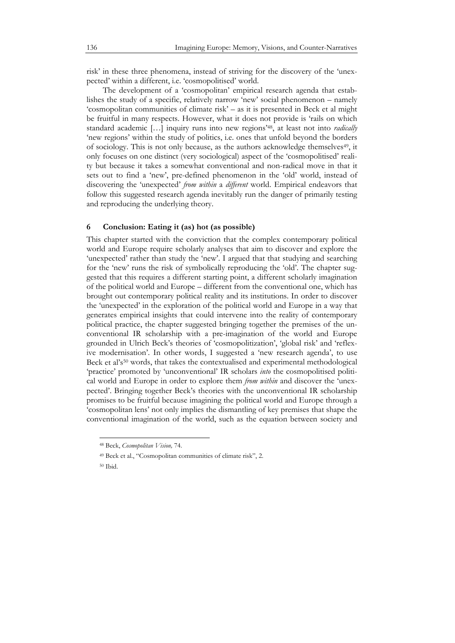risk' in these three phenomena, instead of striving for the discovery of the 'unexpected' within a different, i.e. 'cosmopolitised' world.

The development of a 'cosmopolitan' empirical research agenda that establishes the study of a specific, relatively narrow 'new' social phenomenon – namely 'cosmopolitan communities of climate risk' – as it is presented in Beck et al might be fruitful in many respects. However, what it does not provide is 'rails on which standard academic […] inquiry runs into new regions'48, at least not into *radically* 'new regions' within the study of politics, i.e. ones that unfold beyond the borders of sociology. This is not only because, as the authors acknowledge themselves<sup>49</sup>, it only focuses on one distinct (very sociological) aspect of the 'cosmopolitised' reality but because it takes a somewhat conventional and non-radical move in that it sets out to find a 'new', pre-defined phenomenon in the 'old' world, instead of discovering the 'unexpected' *from within* a *different* world. Empirical endeavors that follow this suggested research agenda inevitably run the danger of primarily testing and reproducing the underlying theory.

#### **6 Conclusion: Eating it (as) hot (as possible)**

This chapter started with the conviction that the complex contemporary political world and Europe require scholarly analyses that aim to discover and explore the 'unexpected' rather than study the 'new'. I argued that that studying and searching for the 'new' runs the risk of symbolically reproducing the 'old'. The chapter suggested that this requires a different starting point, a different scholarly imagination of the political world and Europe – different from the conventional one, which has brought out contemporary political reality and its institutions. In order to discover the 'unexpected' in the exploration of the political world and Europe in a way that generates empirical insights that could intervene into the reality of contemporary political practice, the chapter suggested bringing together the premises of the unconventional IR scholarship with a pre-imagination of the world and Europe grounded in Ulrich Beck's theories of 'cosmopolitization', 'global risk' and 'reflexive modernisation'. In other words, I suggested a 'new research agenda', to use Beck et al's<sup>50</sup> words, that takes the contextualised and experimental methodological 'practice' promoted by 'unconventional' IR scholars *into* the cosmopolitised political world and Europe in order to explore them *from within* and discover the 'unexpected'. Bringing together Beck's theories with the unconventional IR scholarship promises to be fruitful because imagining the political world and Europe through a 'cosmopolitan lens' not only implies the dismantling of key premises that shape the conventional imagination of the world, such as the equation between society and

<sup>48</sup> Beck, *Cosmopolitan Vision,* 74.

<sup>49</sup> Beck et al., "Cosmopolitan communities of climate risk", 2.

<sup>50</sup> Ibid.